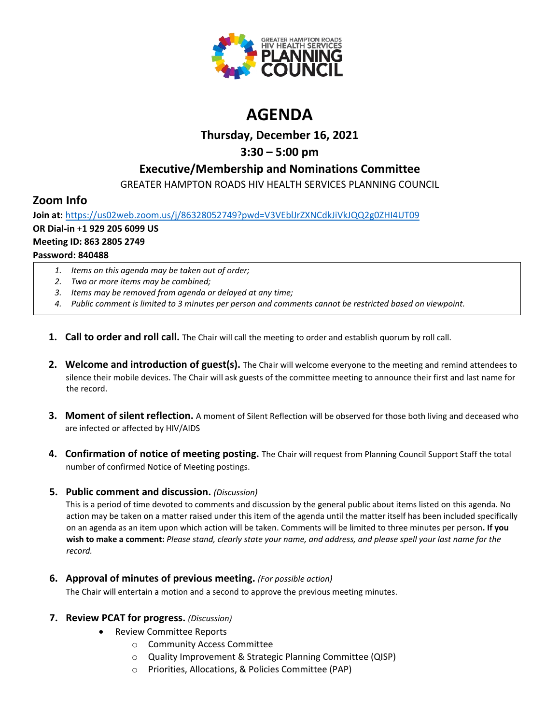

# **AGENDA**

## **Thursday, December 16, 2021**

## **3:30 – 5:00 pm**

## **Executive/Membership and Nominations Committee**

GREATER HAMPTON ROADS HIV HEALTH SERVICES PLANNING COUNCIL

## **Zoom Info**

**Join at:** <https://us02web.zoom.us/j/86328052749?pwd=V3VEblJrZXNCdkJiVkJQQ2g0ZHI4UT09> **OR Dial-in** +**1 929 205 6099 US Meeting ID: 863 2805 2749 Password: 840488**

- *1. Items on this agenda may be taken out of order;*
- *2. Two or more items may be combined;*
- *3. Items may be removed from agenda or delayed at any time;*
- *4. Public comment is limited to 3 minutes per person and comments cannot be restricted based on viewpoint.*
- **1. Call to order and roll call.** The Chair will call the meeting to order and establish quorum by roll call.
- **2. Welcome and introduction of guest(s).** The Chair will welcome everyone to the meeting and remind attendees to silence their mobile devices. The Chair will ask guests of the committee meeting to announce their first and last name for the record.
- **3. Moment of silent reflection.** A moment of Silent Reflection will be observed for those both living and deceased who are infected or affected by HIV/AIDS
- **4. Confirmation of notice of meeting posting.** The Chair will request from Planning Council Support Staff the total number of confirmed Notice of Meeting postings.

### **5. Public comment and discussion.** *(Discussion)*

This is a period of time devoted to comments and discussion by the general public about items listed on this agenda. No action may be taken on a matter raised under this item of the agenda until the matter itself has been included specifically on an agenda as an item upon which action will be taken. Comments will be limited to three minutes per person**. If you wish to make a comment:** *Please stand, clearly state your name, and address, and please spell your last name for the record.*

**6. Approval of minutes of previous meeting.** *(For possible action)*

The Chair will entertain a motion and a second to approve the previous meeting minutes.

### **7. Review PCAT for progress.** *(Discussion)*

- Review Committee Reports
	- o Community Access Committee
	- o Quality Improvement & Strategic Planning Committee (QISP)
	- o Priorities, Allocations, & Policies Committee (PAP)